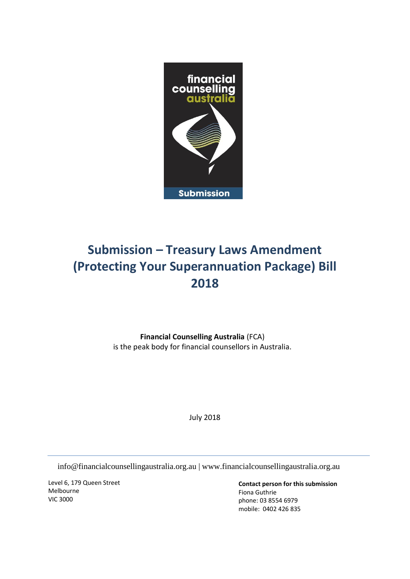

# **Submission – Treasury Laws Amendment (Protecting Your Superannuation Package) Bill 2018**

**Financial Counselling Australia** (FCA) is the peak body for financial counsellors in Australia.

July 2018

info@financialcounsellingaustralia.org.au | www.financialcounsellingaustralia.org.au

Level 6, 179 Queen Street Melbourne VIC 3000

**Contact person for this submission**  Fiona Guthrie phone: 03 8554 6979 mobile: 0402 426 835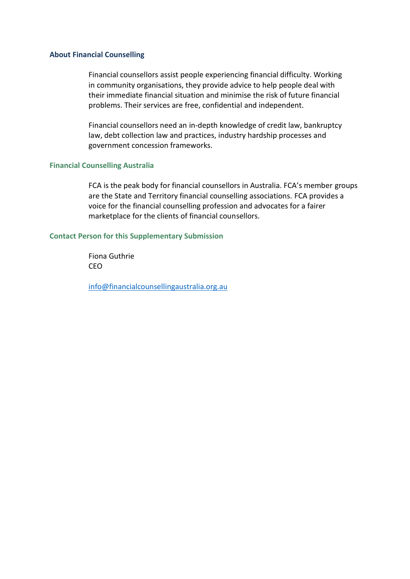#### **About Financial Counselling**

Financial counsellors assist people experiencing financial difficulty. Working in community organisations, they provide advice to help people deal with their immediate financial situation and minimise the risk of future financial problems. Their services are free, confidential and independent.

Financial counsellors need an in-depth knowledge of credit law, bankruptcy law, debt collection law and practices, industry hardship processes and government concession frameworks.

#### **Financial Counselling Australia**

FCA is the peak body for financial counsellors in Australia. FCA's member groups are the State and Territory financial counselling associations. FCA provides a voice for the financial counselling profession and advocates for a fairer marketplace for the clients of financial counsellors.

#### **Contact Person for this Supplementary Submission**

Fiona Guthrie CEO

[info@financialcounsellingaustralia.org.au](mailto:info@financialcounsellingaustralia.org.au)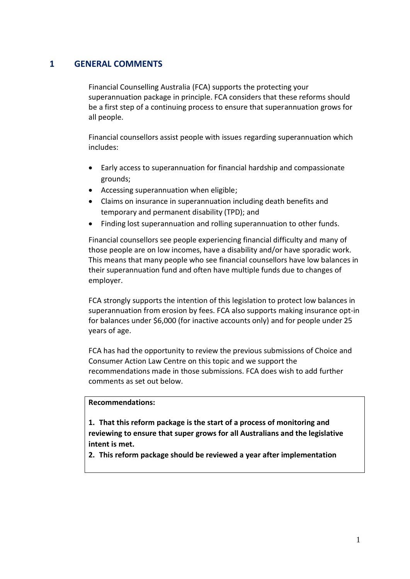## **1 GENERAL COMMENTS**

Financial Counselling Australia (FCA) supports the protecting your superannuation package in principle. FCA considers that these reforms should be a first step of a continuing process to ensure that superannuation grows for all people.

Financial counsellors assist people with issues regarding superannuation which includes:

- Early access to superannuation for financial hardship and compassionate grounds;
- Accessing superannuation when eligible;
- Claims on insurance in superannuation including death benefits and temporary and permanent disability (TPD); and
- Finding lost superannuation and rolling superannuation to other funds.

Financial counsellors see people experiencing financial difficulty and many of those people are on low incomes, have a disability and/or have sporadic work. This means that many people who see financial counsellors have low balances in their superannuation fund and often have multiple funds due to changes of employer.

FCA strongly supports the intention of this legislation to protect low balances in superannuation from erosion by fees. FCA also supports making insurance opt-in for balances under \$6,000 (for inactive accounts only) and for people under 25 years of age.

FCA has had the opportunity to review the previous submissions of Choice and Consumer Action Law Centre on this topic and we support the recommendations made in those submissions. FCA does wish to add further comments as set out below.

## **Recommendations:**

**1. That this reform package is the start of a process of monitoring and reviewing to ensure that super grows for all Australians and the legislative intent is met.**

**2. This reform package should be reviewed a year after implementation**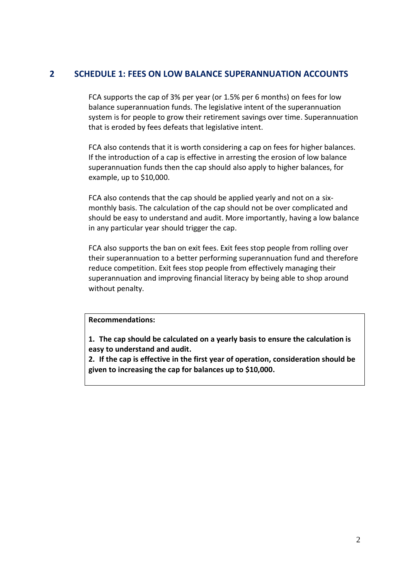# **2 SCHEDULE 1: FEES ON LOW BALANCE SUPERANNUATION ACCOUNTS**

FCA supports the cap of 3% per year (or 1.5% per 6 months) on fees for low balance superannuation funds. The legislative intent of the superannuation system is for people to grow their retirement savings over time. Superannuation that is eroded by fees defeats that legislative intent.

FCA also contends that it is worth considering a cap on fees for higher balances. If the introduction of a cap is effective in arresting the erosion of low balance superannuation funds then the cap should also apply to higher balances, for example, up to \$10,000.

FCA also contends that the cap should be applied yearly and not on a sixmonthly basis. The calculation of the cap should not be over complicated and should be easy to understand and audit. More importantly, having a low balance in any particular year should trigger the cap.

FCA also supports the ban on exit fees. Exit fees stop people from rolling over their superannuation to a better performing superannuation fund and therefore reduce competition. Exit fees stop people from effectively managing their superannuation and improving financial literacy by being able to shop around without penalty.

## **Recommendations:**

**1. The cap should be calculated on a yearly basis to ensure the calculation is easy to understand and audit.**

**2. If the cap is effective in the first year of operation, consideration should be given to increasing the cap for balances up to \$10,000.**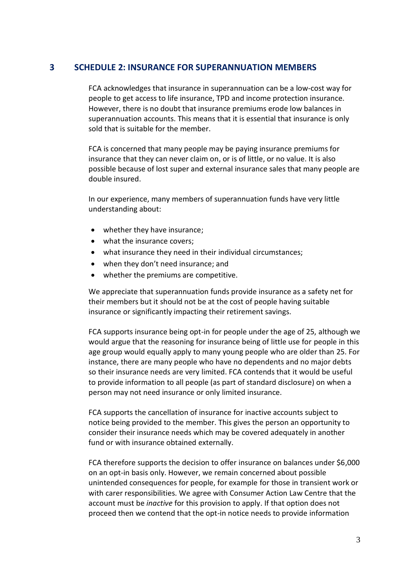## **3 SCHEDULE 2: INSURANCE FOR SUPERANNUATION MEMBERS**

FCA acknowledges that insurance in superannuation can be a low-cost way for people to get access to life insurance, TPD and income protection insurance. However, there is no doubt that insurance premiums erode low balances in superannuation accounts. This means that it is essential that insurance is only sold that is suitable for the member.

FCA is concerned that many people may be paying insurance premiums for insurance that they can never claim on, or is of little, or no value. It is also possible because of lost super and external insurance sales that many people are double insured.

In our experience, many members of superannuation funds have very little understanding about:

- whether they have insurance;
- what the insurance covers;
- what insurance they need in their individual circumstances;
- when they don't need insurance; and
- whether the premiums are competitive.

We appreciate that superannuation funds provide insurance as a safety net for their members but it should not be at the cost of people having suitable insurance or significantly impacting their retirement savings.

FCA supports insurance being opt-in for people under the age of 25, although we would argue that the reasoning for insurance being of little use for people in this age group would equally apply to many young people who are older than 25. For instance, there are many people who have no dependents and no major debts so their insurance needs are very limited. FCA contends that it would be useful to provide information to all people (as part of standard disclosure) on when a person may not need insurance or only limited insurance.

FCA supports the cancellation of insurance for inactive accounts subject to notice being provided to the member. This gives the person an opportunity to consider their insurance needs which may be covered adequately in another fund or with insurance obtained externally.

FCA therefore supports the decision to offer insurance on balances under \$6,000 on an opt-in basis only. However, we remain concerned about possible unintended consequences for people, for example for those in transient work or with carer responsibilities. We agree with Consumer Action Law Centre that the account must be *inactive* for this provision to apply. If that option does not proceed then we contend that the opt-in notice needs to provide information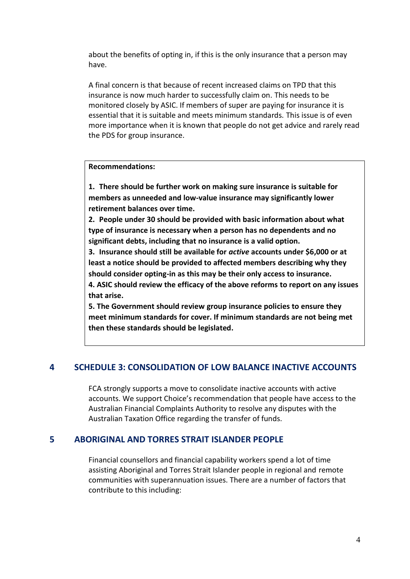about the benefits of opting in, if this is the only insurance that a person may have.

A final concern is that because of recent increased claims on TPD that this insurance is now much harder to successfully claim on. This needs to be monitored closely by ASIC. If members of super are paying for insurance it is essential that it is suitable and meets minimum standards. This issue is of even more importance when it is known that people do not get advice and rarely read the PDS for group insurance.

#### **Recommendations:**

**1. There should be further work on making sure insurance is suitable for members as unneeded and low-value insurance may significantly lower retirement balances over time.**

**2. People under 30 should be provided with basic information about what type of insurance is necessary when a person has no dependents and no significant debts, including that no insurance is a valid option.**

**3. Insurance should still be available for** *active* **accounts under \$6,000 or at least a notice should be provided to affected members describing why they should consider opting-in as this may be their only access to insurance.**

**4. ASIC should review the efficacy of the above reforms to report on any issues that arise.**

**5. The Government should review group insurance policies to ensure they meet minimum standards for cover. If minimum standards are not being met then these standards should be legislated.**

## **4 SCHEDULE 3: CONSOLIDATION OF LOW BALANCE INACTIVE ACCOUNTS**

FCA strongly supports a move to consolidate inactive accounts with active accounts. We support Choice's recommendation that people have access to the Australian Financial Complaints Authority to resolve any disputes with the Australian Taxation Office regarding the transfer of funds.

### **5 ABORIGINAL AND TORRES STRAIT ISLANDER PEOPLE**

Financial counsellors and financial capability workers spend a lot of time assisting Aboriginal and Torres Strait Islander people in regional and remote communities with superannuation issues. There are a number of factors that contribute to this including: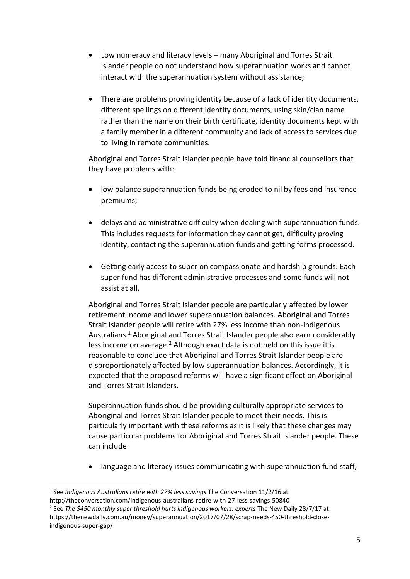- Low numeracy and literacy levels many Aboriginal and Torres Strait Islander people do not understand how superannuation works and cannot interact with the superannuation system without assistance;
- There are problems proving identity because of a lack of identity documents, different spellings on different identity documents, using skin/clan name rather than the name on their birth certificate, identity documents kept with a family member in a different community and lack of access to services due to living in remote communities.

Aboriginal and Torres Strait Islander people have told financial counsellors that they have problems with:

- low balance superannuation funds being eroded to nil by fees and insurance premiums;
- delays and administrative difficulty when dealing with superannuation funds. This includes requests for information they cannot get, difficulty proving identity, contacting the superannuation funds and getting forms processed.
- Getting early access to super on compassionate and hardship grounds. Each super fund has different administrative processes and some funds will not assist at all.

Aboriginal and Torres Strait Islander people are particularly affected by lower retirement income and lower superannuation balances. Aboriginal and Torres Strait Islander people will retire with 27% less income than non-indigenous Australians.<sup>1</sup> Aboriginal and Torres Strait Islander people also earn considerably less income on average.<sup>2</sup> Although exact data is not held on this issue it is reasonable to conclude that Aboriginal and Torres Strait Islander people are disproportionately affected by low superannuation balances. Accordingly, it is expected that the proposed reforms will have a significant effect on Aboriginal and Torres Strait Islanders.

Superannuation funds should be providing culturally appropriate services to Aboriginal and Torres Strait Islander people to meet their needs. This is particularly important with these reforms as it is likely that these changes may cause particular problems for Aboriginal and Torres Strait Islander people. These can include:

language and literacy issues communicating with superannuation fund staff;

<sup>&</sup>lt;u>.</u> 1 See *Indigenous Australians retire with 27% less savings* The Conversation 11/2/16 at http://theconversation.com/indigenous-australians-retire-with-27-less-savings-50840 2 See *The \$450 monthly super threshold hurts indigenous workers: experts* The New Daily 28/7/17 at https://thenewdaily.com.au/money/superannuation/2017/07/28/scrap-needs-450-threshold-closeindigenous-super-gap/